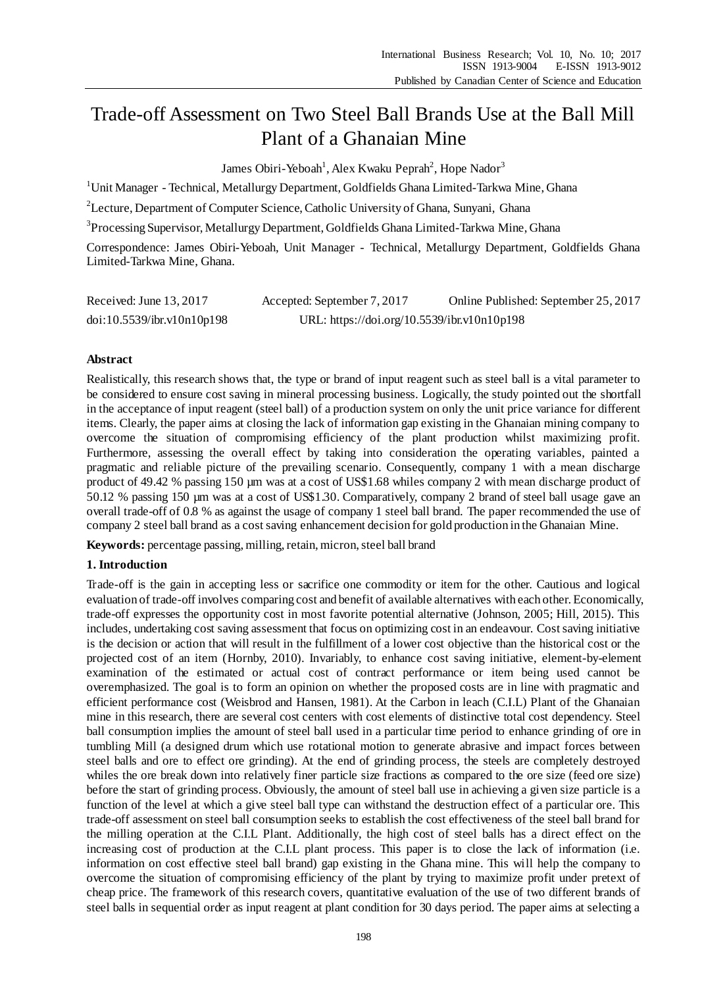# Trade-off Assessment on Two Steel Ball Brands Use at the Ball Mill Plant of a Ghanaian Mine

James Obiri-Yeboah<sup>1</sup>, Alex Kwaku Peprah<sup>2</sup>, Hope Nador<sup>3</sup>

<sup>1</sup>Unit Manager - Technical, Metallurgy Department, Goldfields Ghana Limited-Tarkwa Mine, Ghana

<sup>2</sup>Lecture, Department of Computer Science, Catholic University of Ghana, Sunyani, Ghana

<sup>3</sup>Processing Supervisor, Metallurgy Department, Goldfields Ghana Limited-Tarkwa Mine, Ghana

Correspondence: James Obiri-Yeboah, Unit Manager - Technical, Metallurgy Department, Goldfields Ghana Limited-Tarkwa Mine, Ghana.

| Received: June $13,2017$   | Accepted: September 7, 2017                 | Online Published: September 25, 2017 |
|----------------------------|---------------------------------------------|--------------------------------------|
| doi:10.5539/ibr.v10n10p198 | URL: https://doi.org/10.5539/ibr.v10n10p198 |                                      |

## **Abstract**

Realistically, this research shows that, the type or brand of input reagent such as steel ball is a vital parameter to be considered to ensure cost saving in mineral processing business. Logically, the study pointed out the shortfall in the acceptance of input reagent (steel ball) of a production system on only the unit price variance for different items. Clearly, the paper aims at closing the lack of information gap existing in the Ghanaian mining company to overcome the situation of compromising efficiency of the plant production whilst maximizing profit. Furthermore, assessing the overall effect by taking into consideration the operating variables, painted a pragmatic and reliable picture of the prevailing scenario. Consequently, company 1 with a mean discharge product of 49.42 % passing 150 µm was at a cost of US\$1.68 whiles company 2 with mean discharge product of 50.12 % passing 150 µm was at a cost of US\$1.30. Comparatively, company 2 brand of steel ball usage gave an overall trade-off of 0.8 % as against the usage of company 1 steel ball brand. The paper recommended the use of company 2 steel ball brand as a cost saving enhancement decision for gold production in the Ghanaian Mine.

**Keywords:** percentage passing, milling, retain, micron, steel ball brand

# **1. Introduction**

Trade-off is the gain in accepting less or sacrifice one commodity or item for the other. Cautious and logical evaluation of trade-off involves comparing cost and benefit of available alternatives with each other. Economically, trade-off expresses the opportunity cost in most favorite potential alternative (Johnson, 2005; Hill, 2015). This includes, undertaking cost saving assessment that focus on optimizing cost in an endeavour. Cost saving initiative is the decision or action that will result in the fulfillment of a lower cost objective than the historical cost or the projected cost of an item (Hornby, 2010). Invariably, to enhance cost saving initiative, element-by-element examination of the estimated or actual cost of contract performance or item being used cannot be overemphasized. The goal is to form an opinion on whether the proposed costs are in line with pragmatic and efficient performance cost (Weisbrod and Hansen, 1981). At the Carbon in leach (C.I.L) Plant of the Ghanaian mine in this research, there are several cost centers with cost elements of distinctive total cost dependency. Steel ball consumption implies the amount of steel ball used in a particular time period to enhance grinding of ore in tumbling Mill (a designed drum which use rotational motion to generate abrasive and impact forces between steel balls and ore to effect ore grinding). At the end of grinding process, the steels are completely destroyed whiles the ore break down into relatively finer particle size fractions as compared to the ore size (feed ore size) before the start of grinding process. Obviously, the amount of steel ball use in achieving a given size particle is a function of the level at which a give steel ball type can withstand the destruction effect of a particular ore. This trade-off assessment on steel ball consumption seeks to establish the cost effectiveness of the steel ball brand for the milling operation at the C.I.L Plant. Additionally, the high cost of steel balls has a direct effect on the increasing cost of production at the C.I.L plant process. This paper is to close the lack of information (i.e. information on cost effective steel ball brand) gap existing in the Ghana mine. This will help the company to overcome the situation of compromising efficiency of the plant by trying to maximize profit under pretext of cheap price. The framework of this research covers, quantitative evaluation of the use of two different brands of steel balls in sequential order as input reagent at plant condition for 30 days period. The paper aims at selecting a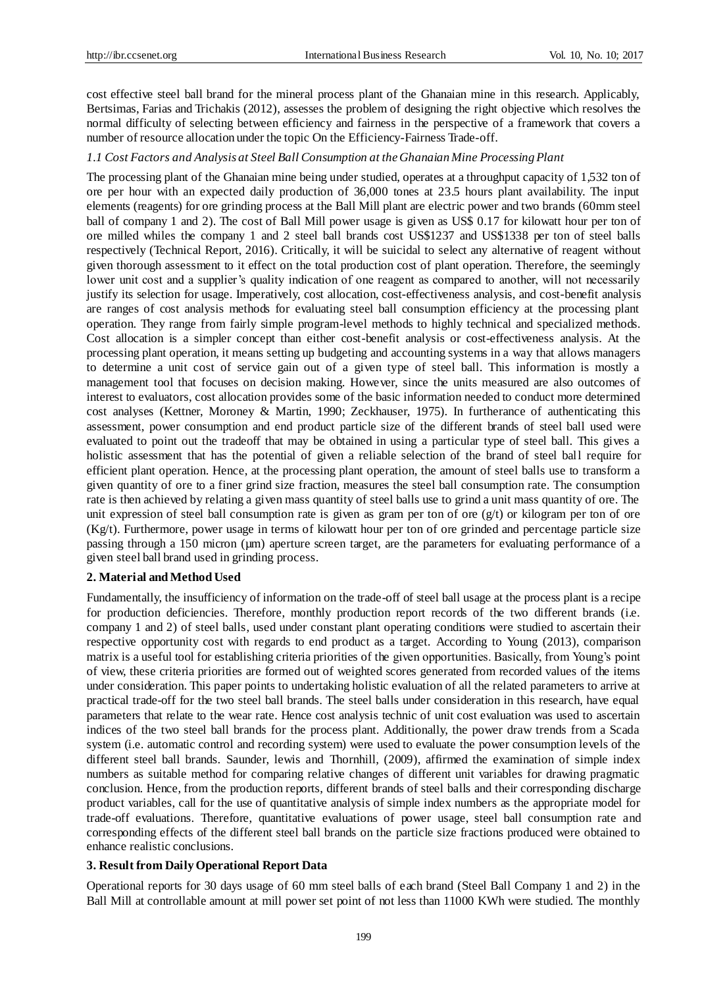cost effective steel ball brand for the mineral process plant of the Ghanaian mine in this research. Applicably, Bertsimas, Farias and Trichakis (2012), assesses the problem of designing the right objective which resolves the normal difficulty of selecting between efficiency and fairness in the perspective of a framework that covers a number of resource allocation under the topic On the Efficiency-Fairness Trade-off.

#### *1.1 Cost Factors and Analysis at Steel Ball Consumption at the Ghanaian Mine Processing Plant*

The processing plant of the Ghanaian mine being under studied, operates at a throughput capacity of 1,532 ton of ore per hour with an expected daily production of 36,000 tones at 23.5 hours plant availability. The input elements (reagents) for ore grinding process at the Ball Mill plant are electric power and two brands (60mm steel ball of company 1 and 2). The cost of Ball Mill power usage is given as US\$ 0.17 for kilowatt hour per ton of ore milled whiles the company 1 and 2 steel ball brands cost US\$1237 and US\$1338 per ton of steel balls respectively (Technical Report, 2016). Critically, it will be suicidal to select any alternative of reagent without given thorough assessment to it effect on the total production cost of plant operation. Therefore, the seemingly lower unit cost and a supplier's quality indication of one reagent as compared to another, will not necessarily justify its selection for usage. Imperatively, cost allocation, cost-effectiveness analysis, and cost-benefit analysis are ranges of cost analysis methods for evaluating steel ball consumption efficiency at the processing plant operation. They range from fairly simple program-level methods to highly technical and specialized methods. Cost allocation is a simpler concept than either cost-benefit analysis or cost-effectiveness analysis. At the processing plant operation, it means setting up budgeting and accounting systems in a way that allows managers to determine a unit cost of service gain out of a given type of steel ball. This information is mostly a management tool that focuses on decision making. However, since the units measured are also outcomes of interest to evaluators, cost allocation provides some of the basic information needed to conduct more determined cost analyses (Kettner, Moroney & Martin, 1990; Zeckhauser, 1975). In furtherance of authenticating this assessment, power consumption and end product particle size of the different brands of steel ball used were evaluated to point out the tradeoff that may be obtained in using a particular type of steel ball. This gives a holistic assessment that has the potential of given a reliable selection of the brand of steel ball require for efficient plant operation. Hence, at the processing plant operation, the amount of steel balls use to transform a given quantity of ore to a finer grind size fraction, measures the steel ball consumption rate. The consumption rate is then achieved by relating a given mass quantity of steel balls use to grind a unit mass quantity of ore. The unit expression of steel ball consumption rate is given as gram per ton of ore  $(g/t)$  or kilogram per ton of ore (Kg/t). Furthermore, power usage in terms of kilowatt hour per ton of ore grinded and percentage particle size passing through a 150 micron (µm) aperture screen target, are the parameters for evaluating performance of a given steel ball brand used in grinding process.

#### **2. Material and Method Used**

Fundamentally, the insufficiency of information on the trade-off of steel ball usage at the process plant is a recipe for production deficiencies. Therefore, monthly production report records of the two different brands (i.e. company 1 and 2) of steel balls, used under constant plant operating conditions were studied to ascertain their respective opportunity cost with regards to end product as a target. According to Young (2013), comparison matrix is a useful tool for establishing criteria priorities of the given opportunities. Basically, from Young's point of view, these criteria priorities are formed out of weighted scores generated from recorded values of the items under consideration. This paper points to undertaking holistic evaluation of all the related parameters to arrive at practical trade-off for the two steel ball brands. The steel balls under consideration in this research, have equal parameters that relate to the wear rate. Hence cost analysis technic of unit cost evaluation was used to ascertain indices of the two steel ball brands for the process plant. Additionally, the power draw trends from a Scada system (i.e. automatic control and recording system) were used to evaluate the power consumption levels of the different steel ball brands. Saunder, lewis and Thornhill, (2009), affirmed the examination of simple index numbers as suitable method for comparing relative changes of different unit variables for drawing pragmatic conclusion. Hence, from the production reports, different brands of steel balls and their corresponding discharge product variables, call for the use of quantitative analysis of simple index numbers as the appropriate model for trade-off evaluations. Therefore, quantitative evaluations of power usage, steel ball consumption rate and corresponding effects of the different steel ball brands on the particle size fractions produced were obtained to enhance realistic conclusions.

## **3. Result from Daily Operational Report Data**

Operational reports for 30 days usage of 60 mm steel balls of each brand (Steel Ball Company 1 and 2) in the Ball Mill at controllable amount at mill power set point of not less than 11000 KWh were studied. The monthly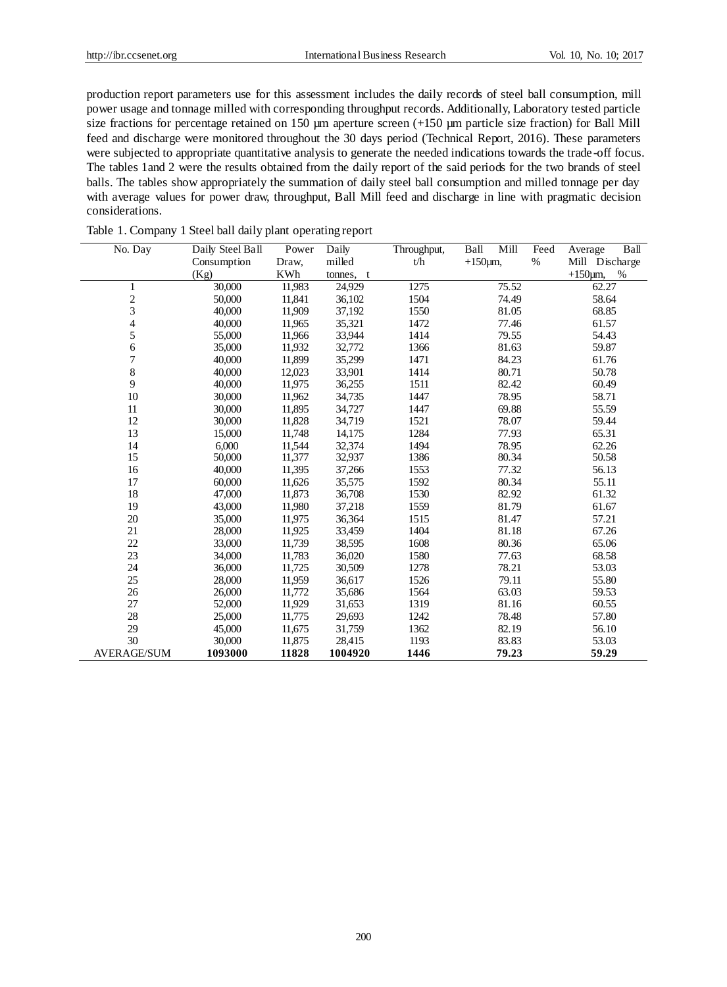production report parameters use for this assessment includes the daily records of steel ball consumption, mill power usage and tonnage milled with corresponding throughput records. Additionally, Laboratory tested particle size fractions for percentage retained on 150  $\mu$ m aperture screen (+150  $\mu$ m particle size fraction) for Ball Mill feed and discharge were monitored throughout the 30 days period (Technical Report, 2016). These parameters were subjected to appropriate quantitative analysis to generate the needed indications towards the trade-off focus. The tables 1and 2 were the results obtained from the daily report of the said periods for the two brands of steel balls. The tables show appropriately the summation of daily steel ball consumption and milled tonnage per day with average values for power draw, throughput, Ball Mill feed and discharge in line with pragmatic decision considerations.

| No. Day            | Daily Steel Ball | Power      | Daily     | Throughput, | Ball<br>Mill<br>Feed     | Ball<br>Average                |
|--------------------|------------------|------------|-----------|-------------|--------------------------|--------------------------------|
|                    | Consumption      | Draw,      | milled    | t/h         | $+150 \,\mu m$ ,<br>$\%$ | Mill Discharge                 |
|                    | (Kg)             | <b>KWh</b> | tonnes, t |             |                          | $+150 \,\mathrm{µm}$ .<br>$\%$ |
| 1                  | 30,000           | 11,983     | 24,929    | 1275        | 75.52                    | 62.27                          |
| $\frac{2}{3}$      | 50,000           | 11,841     | 36,102    | 1504        | 74.49                    | 58.64                          |
|                    | 40,000           | 11,909     | 37,192    | 1550        | 81.05                    | 68.85                          |
| $\overline{4}$     | 40,000           | 11,965     | 35,321    | 1472        | 77.46                    | 61.57                          |
| 5                  | 55,000           | 11,966     | 33,944    | 1414        | 79.55                    | 54.43                          |
| 6                  | 35,000           | 11,932     | 32,772    | 1366        | 81.63                    | 59.87                          |
| 7                  | 40,000           | 11,899     | 35,299    | 1471        | 84.23                    | 61.76                          |
| 8                  | 40,000           | 12,023     | 33,901    | 1414        | 80.71                    | 50.78                          |
| 9                  | 40,000           | 11,975     | 36,255    | 1511        | 82.42                    | 60.49                          |
| 10                 | 30,000           | 11,962     | 34,735    | 1447        | 78.95                    | 58.71                          |
| 11                 | 30,000           | 11,895     | 34,727    | 1447        | 69.88                    | 55.59                          |
| 12                 | 30,000           | 11,828     | 34,719    | 1521        | 78.07                    | 59.44                          |
| 13                 | 15,000           | 11,748     | 14,175    | 1284        | 77.93                    | 65.31                          |
| 14                 | 6,000            | 11,544     | 32,374    | 1494        | 78.95                    | 62.26                          |
| 15                 | 50,000           | 11,377     | 32,937    | 1386        | 80.34                    | 50.58                          |
| 16                 | 40,000           | 11,395     | 37,266    | 1553        | 77.32                    | 56.13                          |
| 17                 | 60,000           | 11,626     | 35,575    | 1592        | 80.34                    | 55.11                          |
| 18                 | 47,000           | 11,873     | 36,708    | 1530        | 82.92                    | 61.32                          |
| 19                 | 43,000           | 11,980     | 37,218    | 1559        | 81.79                    | 61.67                          |
| 20                 | 35,000           | 11,975     | 36,364    | 1515        | 81.47                    | 57.21                          |
| 21                 | 28,000           | 11,925     | 33,459    | 1404        | 81.18                    | 67.26                          |
| 22                 | 33,000           | 11,739     | 38,595    | 1608        | 80.36                    | 65.06                          |
| 23                 | 34,000           | 11,783     | 36,020    | 1580        | 77.63                    | 68.58                          |
| 24                 | 36,000           | 11,725     | 30,509    | 1278        | 78.21                    | 53.03                          |
| 25                 | 28,000           | 11,959     | 36,617    | 1526        | 79.11                    | 55.80                          |
| 26                 | 26,000           | 11,772     | 35,686    | 1564        | 63.03                    | 59.53                          |
| 27                 | 52,000           | 11,929     | 31,653    | 1319        | 81.16                    | 60.55                          |
| 28                 | 25,000           | 11,775     | 29,693    | 1242        | 78.48                    | 57.80                          |
| 29                 | 45,000           | 11,675     | 31,759    | 1362        | 82.19                    | 56.10                          |
| 30                 | 30,000           | 11,875     | 28,415    | 1193        | 83.83                    | 53.03                          |
| <b>AVERAGE/SUM</b> | 1093000          | 11828      | 1004920   | 1446        | 79.23                    | 59.29                          |

## Table 1. Company 1 Steel ball daily plant operating report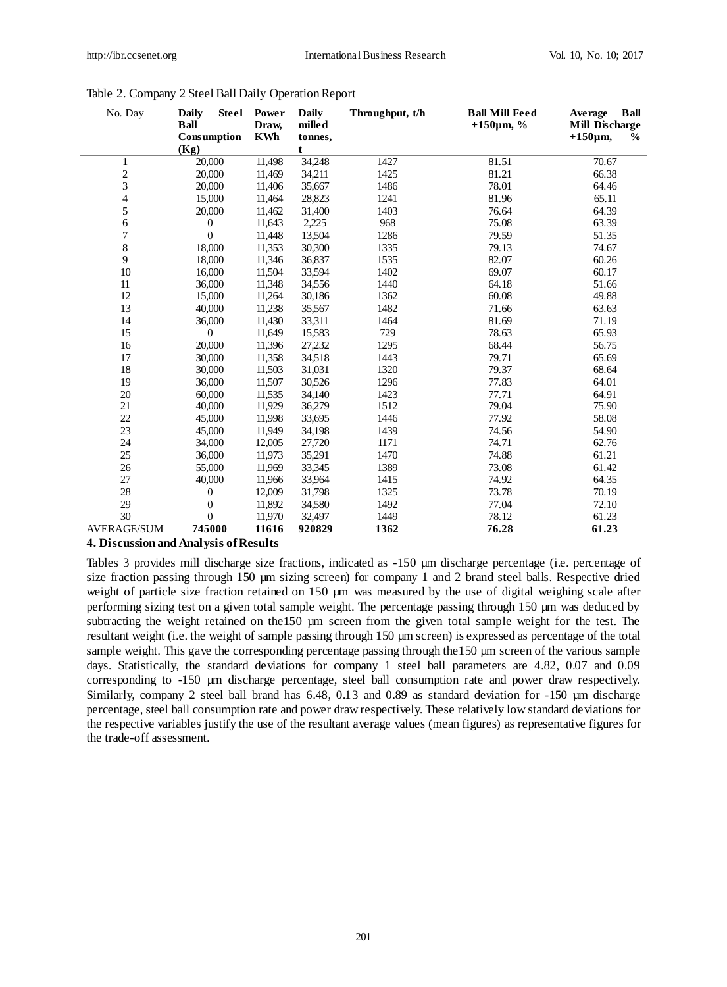| No. Day                      | <b>Daily</b><br><b>Steel</b><br><b>Ball</b><br>Consumption<br>(Kg) | Power<br>Draw,<br><b>KWh</b> | <b>Daily</b><br>milled<br>tonnes,<br>t | Throughput, t/h | <b>Ball Mill Feed</b><br>$+150 \,\mu m, \%$ | <b>Ball</b><br>Ave rage<br>Mill Discharge<br>$+150 \,\mathrm{\mu m}$ ,<br>$\frac{0}{0}$ |
|------------------------------|--------------------------------------------------------------------|------------------------------|----------------------------------------|-----------------|---------------------------------------------|-----------------------------------------------------------------------------------------|
| 1                            | 20,000                                                             | 11,498                       | 34,248                                 | 1427            | 81.51                                       | 70.67                                                                                   |
| $\overline{c}$               | 20,000                                                             | 11,469                       | 34,211                                 | 1425            | 81.21                                       | 66.38                                                                                   |
| 3                            | 20,000                                                             | 11,406                       | 35,667                                 | 1486            | 78.01                                       | 64.46                                                                                   |
| 4                            | 15,000                                                             | 11,464                       | 28,823                                 | 1241            | 81.96                                       | 65.11                                                                                   |
| 5                            | 20,000                                                             | 11,462                       | 31,400                                 | 1403            | 76.64                                       | 64.39                                                                                   |
| 6                            | 0                                                                  | 11,643                       | 2,225                                  | 968             | 75.08                                       | 63.39                                                                                   |
| $\sqrt{ }$                   | $\mathbf{0}$                                                       | 11,448                       | 13,504                                 | 1286            | 79.59                                       | 51.35                                                                                   |
| 8                            | 18,000                                                             | 11,353                       | 30,300                                 | 1335            | 79.13                                       | 74.67                                                                                   |
| 9                            | 18,000                                                             | 11,346                       | 36,837                                 | 1535            | 82.07                                       | 60.26                                                                                   |
| 10                           | 16,000                                                             | 11,504                       | 33,594                                 | 1402            | 69.07                                       | 60.17                                                                                   |
| 11                           | 36,000                                                             | 11,348                       | 34,556                                 | 1440            | 64.18                                       | 51.66                                                                                   |
| 12                           | 15,000                                                             | 11,264                       | 30,186                                 | 1362            | 60.08                                       | 49.88                                                                                   |
| 13                           | 40,000                                                             | 11,238                       | 35,567                                 | 1482            | 71.66                                       | 63.63                                                                                   |
| 14                           | 36,000                                                             | 11.430                       | 33,311                                 | 1464            | 81.69                                       | 71.19                                                                                   |
| 15                           | $\Omega$                                                           | 11,649                       | 15,583                                 | 729             | 78.63                                       | 65.93                                                                                   |
| 16                           | 20,000                                                             | 11,396                       | 27,232                                 | 1295            | 68.44                                       | 56.75                                                                                   |
| 17                           | 30,000                                                             | 11,358                       | 34,518                                 | 1443            | 79.71                                       | 65.69                                                                                   |
| 18                           | 30,000                                                             | 11,503                       | 31,031                                 | 1320            | 79.37                                       | 68.64                                                                                   |
| 19                           | 36,000                                                             | 11,507                       | 30,526                                 | 1296            | 77.83                                       | 64.01                                                                                   |
| 20                           | 60,000                                                             | 11,535                       | 34,140                                 | 1423            | 77.71                                       | 64.91                                                                                   |
| 21                           | 40,000                                                             | 11,929                       | 36,279                                 | 1512            | 79.04                                       | 75.90                                                                                   |
| 22                           | 45,000                                                             | 11,998                       | 33,695                                 | 1446            | 77.92                                       | 58.08                                                                                   |
| 23                           | 45,000                                                             | 11,949                       | 34,198                                 | 1439            | 74.56                                       | 54.90                                                                                   |
| 24                           | 34,000                                                             | 12,005                       | 27,720                                 | 1171            | 74.71                                       | 62.76                                                                                   |
| 25                           | 36,000                                                             | 11,973                       | 35,291                                 | 1470            | 74.88                                       | 61.21                                                                                   |
| 26                           | 55,000                                                             | 11,969                       | 33,345                                 | 1389            | 73.08                                       | 61.42                                                                                   |
| 27                           | 40,000                                                             | 11,966                       | 33,964                                 | 1415            | 74.92                                       | 64.35                                                                                   |
| 28                           | 0                                                                  | 12,009                       | 31,798                                 | 1325            | 73.78                                       | 70.19                                                                                   |
| 29                           | $\overline{0}$                                                     | 11,892                       | 34,580                                 | 1492            | 77.04                                       | 72.10                                                                                   |
| 30                           | $\theta$                                                           | 11,970                       | 32,497                                 | 1449            | 78.12                                       | 61.23                                                                                   |
| <b>AVERAGE/SUM</b><br>$\sim$ | 745000                                                             | 11616                        | 920829                                 | 1362            | 76.28                                       | 61.23                                                                                   |

Table 2. Company 2 Steel Ball Daily Operation Report

**4. Discussion and Analysis of Results**

Tables 3 provides mill discharge size fractions, indicated as -150 µm discharge percentage (i.e. percentage of size fraction passing through 150 µm sizing screen) for company 1 and 2 brand steel balls. Respective dried weight of particle size fraction retained on 150 µm was measured by the use of digital weighing scale after performing sizing test on a given total sample weight. The percentage passing through 150 µm was deduced by subtracting the weight retained on the 150 µm screen from the given total sample weight for the test. The resultant weight (i.e. the weight of sample passing through 150 µm screen) is expressed as percentage of the total sample weight. This gave the corresponding percentage passing through the 150 µm screen of the various sample days. Statistically, the standard deviations for company 1 steel ball parameters are 4.82, 0.07 and 0.09 corresponding to -150 µm discharge percentage, steel ball consumption rate and power draw respectively. Similarly, company 2 steel ball brand has 6.48, 0.13 and 0.89 as standard deviation for -150 µm discharge percentage, steel ball consumption rate and power draw respectively. These relatively low standard deviations for the respective variables justify the use of the resultant average values (mean figures) as representative figures for the trade-off assessment.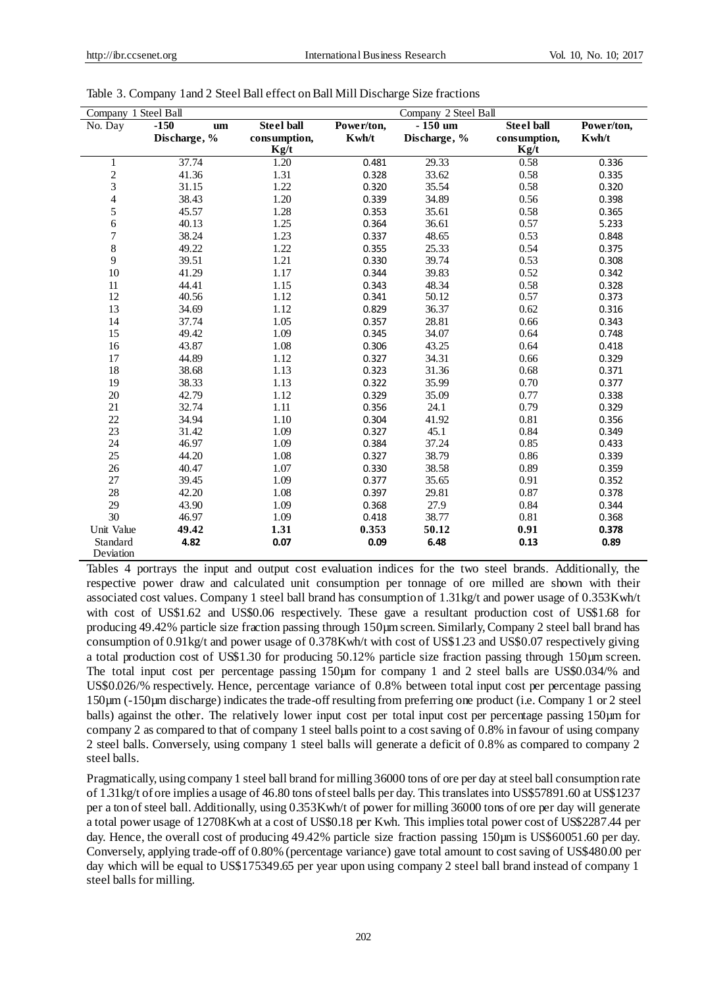| Company 1 Steel Ball     |              |                   |            | Company 2 Steel Ball |                   |            |
|--------------------------|--------------|-------------------|------------|----------------------|-------------------|------------|
| No. Day                  | $-150$<br>um | <b>Steel ball</b> | Power/ton, | $-150$ um            | <b>Steel ball</b> | Power/ton, |
|                          | Discharge, % | consumption,      | Kwh/t      | Discharge, %         | consumption,      | Kwh/t      |
|                          |              | Kg/t              |            |                      | Kg/t              |            |
| $\mathbf{1}$             | 37.74        | 1.20              | 0.481      | 29.33                | 0.58              | 0.336      |
| $\frac{2}{3}$            | 41.36        | 1.31              | 0.328      | 33.62                | 0.58              | 0.335      |
|                          | 31.15        | 1.22              | 0.320      | 35.54                | 0.58              | 0.320      |
| $\overline{\mathcal{L}}$ | 38.43        | 1.20              | 0.339      | 34.89                | 0.56              | 0.398      |
| 5                        | 45.57        | 1.28              | 0.353      | 35.61                | 0.58              | 0.365      |
| 6                        | 40.13        | 1.25              | 0.364      | 36.61                | 0.57              | 5.233      |
| $\overline{7}$           | 38.24        | 1.23              | 0.337      | 48.65                | 0.53              | 0.848      |
| 8                        | 49.22        | 1.22              | 0.355      | 25.33                | 0.54              | 0.375      |
| 9                        | 39.51        | 1.21              | 0.330      | 39.74                | 0.53              | 0.308      |
| 10                       | 41.29        | 1.17              | 0.344      | 39.83                | 0.52              | 0.342      |
| 11                       | 44.41        | 1.15              | 0.343      | 48.34                | 0.58              | 0.328      |
| 12                       | 40.56        | 1.12              | 0.341      | 50.12                | 0.57              | 0.373      |
| 13                       | 34.69        | 1.12              | 0.829      | 36.37                | 0.62              | 0.316      |
| 14                       | 37.74        | 1.05              | 0.357      | 28.81                | 0.66              | 0.343      |
| 15                       | 49.42        | 1.09              | 0.345      | 34.07                | 0.64              | 0.748      |
| 16                       | 43.87        | 1.08              | 0.306      | 43.25                | 0.64              | 0.418      |
| 17                       | 44.89        | 1.12              | 0.327      | 34.31                | 0.66              | 0.329      |
| 18                       | 38.68        | 1.13              | 0.323      | 31.36                | 0.68              | 0.371      |
| 19                       | 38.33        | 1.13              | 0.322      | 35.99                | 0.70              | 0.377      |
| 20                       | 42.79        | 1.12              | 0.329      | 35.09                | 0.77              | 0.338      |
| 21                       | 32.74        | 1.11              | 0.356      | 24.1                 | 0.79              | 0.329      |
| 22                       | 34.94        | 1.10              | 0.304      | 41.92                | 0.81              | 0.356      |
| 23                       | 31.42        | 1.09              | 0.327      | 45.1                 | 0.84              | 0.349      |
| 24                       | 46.97        | 1.09              | 0.384      | 37.24                | 0.85              | 0.433      |
| 25                       | 44.20        | 1.08              | 0.327      | 38.79                | 0.86              | 0.339      |
| 26                       | 40.47        | 1.07              | 0.330      | 38.58                | 0.89              | 0.359      |
| 27                       | 39.45        | 1.09              | 0.377      | 35.65                | 0.91              | 0.352      |
| 28                       | 42.20        | 1.08              | 0.397      | 29.81                | 0.87              | 0.378      |
| 29                       | 43.90        | 1.09              | 0.368      | 27.9                 | 0.84              | 0.344      |
| 30                       | 46.97        | 1.09              | 0.418      | 38.77                | 0.81              | 0.368      |
| Unit Value               | 49.42        | 1.31              | 0.353      | 50.12                | 0.91              | 0.378      |
| Standard<br>Deviation    | 4.82         | 0.07              | 0.09       | 6.48                 | 0.13              | 0.89       |

|  | Table 3. Company 1 and 2 Steel Ball effect on Ball Mill Discharge Size fractions |
|--|----------------------------------------------------------------------------------|
|  |                                                                                  |

Tables 4 portrays the input and output cost evaluation indices for the two steel brands. Additionally, the respective power draw and calculated unit consumption per tonnage of ore milled are shown with their associated cost values. Company 1 steel ball brand has consumption of 1.31kg/t and power usage of 0.353Kwh/t with cost of US\$1.62 and US\$0.06 respectively. These gave a resultant production cost of US\$1.68 for producing 49.42% particle size fraction passing through 150µm screen. Similarly, Company 2 steel ball brand has consumption of 0.91kg/t and power usage of 0.378Kwh/t with cost of US\$1.23 and US\$0.07 respectively giving a total production cost of US\$1.30 for producing 50.12% particle size fraction passing through 150µm screen. The total input cost per percentage passing  $150 \mu m$  for company 1 and 2 steel balls are US\$0.034/% and US\$0.026/% respectively. Hence, percentage variance of 0.8% between total input cost per percentage passing 150µm (-150µm discharge) indicates the trade-off resulting from preferring one product (i.e. Company 1 or 2 steel balls) against the other. The relatively lower input cost per total input cost per percentage passing 150  $\mu$ m for company 2 as compared to that of company 1 steel balls point to a cost saving of 0.8% in favour of using company 2 steel balls. Conversely, using company 1 steel balls will generate a deficit of 0.8% as compared to company 2 steel balls.

Pragmatically, using company 1 steel ball brand for milling 36000 tons of ore per day at steel ball consumption rate of 1.31kg/t of ore implies a usage of 46.80 tons of steel balls per day. This translates into US\$57891.60 at US\$1237 per a ton of steel ball. Additionally, using 0.353Kwh/t of power for milling 36000 tons of ore per day will generate a total power usage of 12708Kwh at a cost of US\$0.18 per Kwh. This implies total power cost of US\$2287.44 per day. Hence, the overall cost of producing 49.42% particle size fraction passing 150  $\mu$ m is US\$60051.60 per day. Conversely, applying trade-off of 0.80% (percentage variance) gave total amount to cost saving of US\$480.00 per day which will be equal to US\$175349.65 per year upon using company 2 steel ball brand instead of company 1 steel balls for milling.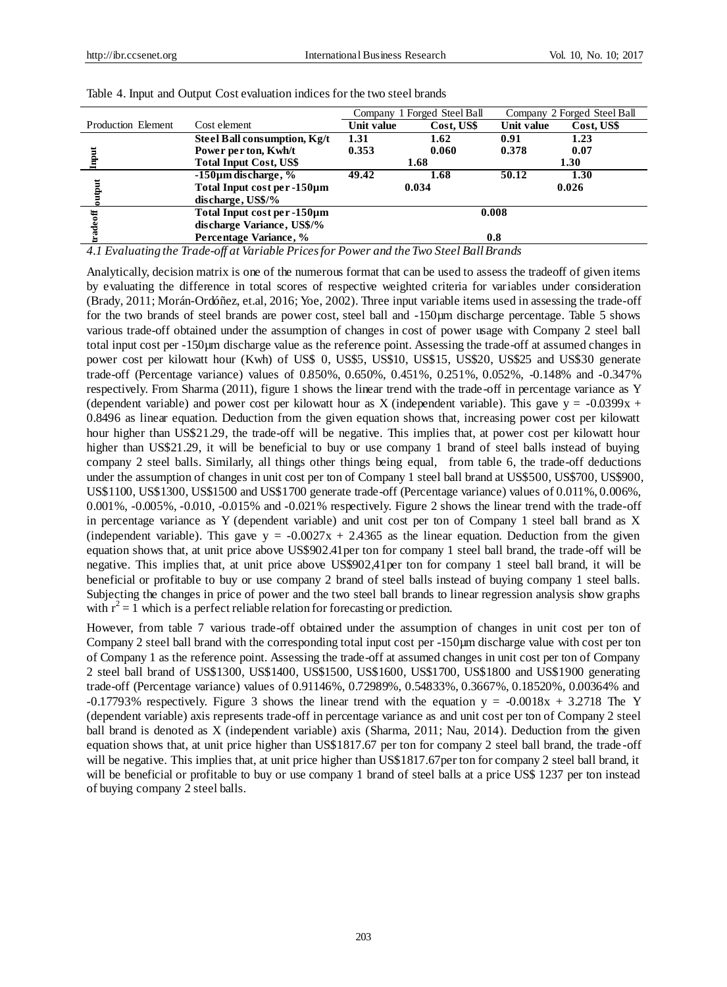|                           |                                                                          |                           | Company 1 Forged Steel Ball              | Company 2 Forged Steel Ball |            |
|---------------------------|--------------------------------------------------------------------------|---------------------------|------------------------------------------|-----------------------------|------------|
| <b>Production Element</b> | Cost element                                                             | Unit value                | Cost, US\$                               | Unit value                  | Cost, US\$ |
|                           | Steel Ball consumption, Kg/t                                             | 1.31                      | 1.62                                     | 0.91                        | 1.23       |
|                           | Power per ton, Kwh/t                                                     | 0.353                     | 0.060                                    | 0.378                       | 0.07       |
|                           | <b>Total Input Cost, US\$</b>                                            |                           | 1.68                                     |                             | 1.30       |
|                           | $-150 \,\mathrm{\mu m}$ discharge, %                                     | 49.42                     | 1.68                                     | 50.12                       | 1.30       |
| utput                     | Total Input cost per -150 µm                                             |                           | 0.034                                    |                             | 0.026      |
|                           | discharge, US\$/%                                                        |                           |                                          |                             |            |
|                           | Total Input cost per -150 µm                                             |                           |                                          | 0.008                       |            |
|                           | discharge Variance, US\$/%                                               |                           |                                          |                             |            |
|                           | Percentage Variance, %                                                   |                           |                                          | 0.8                         |            |
| $\sim$ $\sim$<br>$\sim$   | $\sim$ $\sim$ $\sim$ $\sim$ $\sim$ $\sim$ $\sim$ $\sim$<br>$\sim$ $\sim$ | $\mathbf{r}$ $\mathbf{r}$ | 1 <sub>n</sub> 11 <sub>n</sub><br>$\sim$ |                             |            |

| Table 4. Input and Output Cost evaluation indices for the two steel brands |  |  |  |  |
|----------------------------------------------------------------------------|--|--|--|--|
|                                                                            |  |  |  |  |

*4.1 Evaluating the Trade-off at Variable Prices for Power and the Two Steel Ball Brands*

Analytically, decision matrix is one of the numerous format that can be used to assess the tradeoff of given items by evaluating the difference in total scores of respective weighted criteria for variables under consideration (Brady, 2011; Morán-Ordóñez, et.al, 2016; Yoe, 2002). Three input variable items used in assessing the trade-off for the two brands of steel brands are power cost, steel ball and -150µm discharge percentage. Table 5 shows various trade-off obtained under the assumption of changes in cost of power usage with Company 2 steel ball total input cost per -150µm discharge value as the reference point. Assessing the trade-off at assumed changes in power cost per kilowatt hour (Kwh) of US\$ 0, US\$5, US\$10, US\$15, US\$20, US\$25 and US\$30 generate trade-off (Percentage variance) values of 0.850%, 0.650%, 0.451%, 0.251%, 0.052%, -0.148% and -0.347% respectively. From Sharma (2011), figure 1 shows the linear trend with the trade-off in percentage variance as Y (dependent variable) and power cost per kilowatt hour as X (independent variable). This gave  $y = -0.0399x +$ 0.8496 as linear equation. Deduction from the given equation shows that, increasing power cost per kilowatt hour higher than US\$21.29, the trade-off will be negative. This implies that, at power cost per kilowatt hour higher than US\$21.29, it will be beneficial to buy or use company 1 brand of steel balls instead of buying company 2 steel balls. Similarly, all things other things being equal, from table 6, the trade-off deductions under the assumption of changes in unit cost per ton of Company 1 steel ball brand at US\$500, US\$700, US\$900, US\$1100, US\$1300, US\$1500 and US\$1700 generate trade-off (Percentage variance) values of 0.011%, 0.006%, 0.001%, -0.005%, -0.010, -0.015% and -0.021% respectively. Figure 2 shows the linear trend with the trade-off in percentage variance as Y (dependent variable) and unit cost per ton of Company 1 steel ball brand as X (independent variable). This gave  $y = -0.0027x + 2.4365$  as the linear equation. Deduction from the given equation shows that, at unit price above US\$902.41per ton for company 1 steel ball brand, the trade -off will be negative. This implies that, at unit price above US\$902,41per ton for company 1 steel ball brand, it will be beneficial or profitable to buy or use company 2 brand of steel balls instead of buying company 1 steel balls. Subjecting the changes in price of power and the two steel ball brands to linear regression analysis show graphs with  $r^2 = 1$  which is a perfect reliable relation for forecasting or prediction.

However, from table 7 various trade-off obtained under the assumption of changes in unit cost per ton of Company 2 steel ball brand with the corresponding total input cost per -150µm discharge value with cost per ton of Company 1 as the reference point. Assessing the trade-off at assumed changes in unit cost per ton of Company 2 steel ball brand of US\$1300, US\$1400, US\$1500, US\$1600, US\$1700, US\$1800 and US\$1900 generating trade-off (Percentage variance) values of 0.91146%, 0.72989%, 0.54833%, 0.3667%, 0.18520%, 0.00364% and  $-0.17793\%$  respectively. Figure 3 shows the linear trend with the equation y =  $-0.0018x + 3.2718$  The Y (dependent variable) axis represents trade-off in percentage variance as and unit cost per ton of Company 2 steel ball brand is denoted as X (independent variable) axis (Sharma, 2011; Nau, 2014). Deduction from the given equation shows that, at unit price higher than US\$1817.67 per ton for company 2 steel ball brand, the trade -off will be negative. This implies that, at unit price higher than US\$1817.67per ton for company 2 steel ball brand, it will be beneficial or profitable to buy or use company 1 brand of steel balls at a price US\$ 1237 per ton instead of buying company 2 steel balls.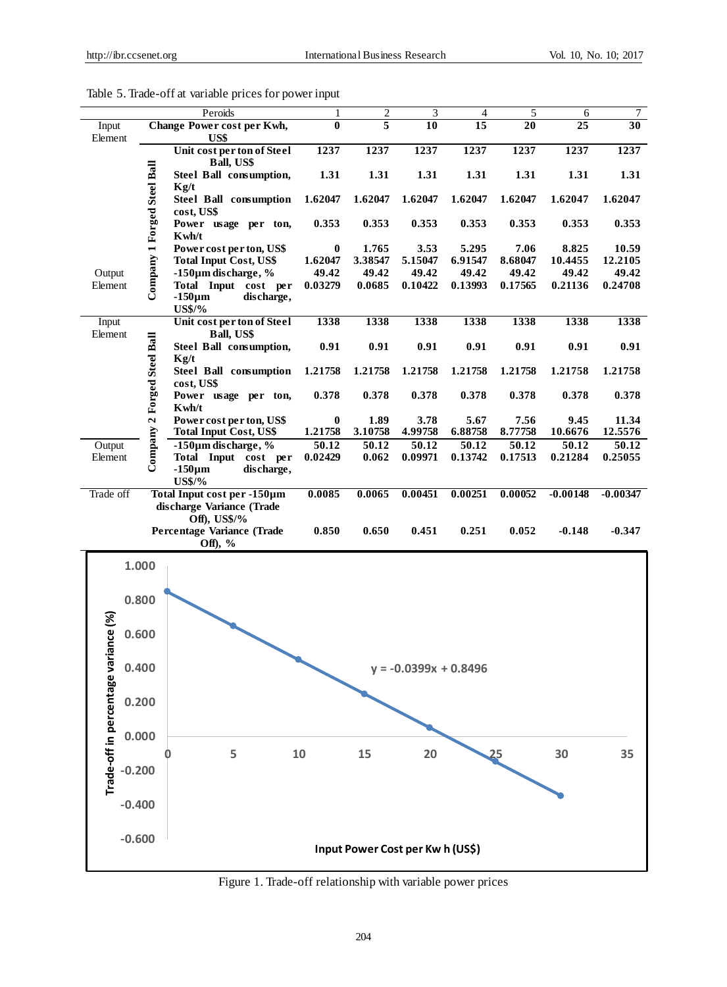|  |  | Table 5. Trade-off at variable prices for power input |  |  |
|--|--|-------------------------------------------------------|--|--|
|  |  |                                                       |  |  |

|                              |          |                             | Peroids                                |          | 2                                | 3                       | $\overline{4}$  | $\sqrt{5}$      | 6               | 7          |
|------------------------------|----------|-----------------------------|----------------------------------------|----------|----------------------------------|-------------------------|-----------------|-----------------|-----------------|------------|
| Input                        |          |                             | Change Power cost per Kwh,             | $\bf{0}$ | $\overline{5}$                   | 10                      | $\overline{15}$ | $\overline{20}$ | $\overline{25}$ | 30         |
| Element                      |          |                             | US\$                                   |          |                                  |                         |                 |                 |                 |            |
|                              |          |                             | Unit cost per ton of Steel             | 1237     | 1237                             | 1237                    | 1237            | 1237            | 1237            | 1237       |
|                              |          |                             | Ball, US\$                             |          |                                  |                         |                 |                 |                 |            |
|                              |          |                             | Steel Ball consumption,                | 1.31     | 1.31                             | 1.31                    | 1.31            | 1.31            | 1.31            | 1.31       |
|                              |          |                             | Kg/t                                   |          |                                  |                         |                 |                 |                 |            |
|                              |          |                             | Steel Ball consumption                 | 1.62047  | 1.62047                          | 1.62047                 | 1.62047         | 1.62047         | 1.62047         | 1.62047    |
|                              |          |                             | cost, US\$                             |          |                                  |                         |                 |                 |                 |            |
|                              |          |                             | Power usage per ton,                   | 0.353    | 0.353                            | 0.353                   | 0.353           | 0.353           | 0.353           | 0.353      |
|                              |          | Company 1 Forged Steel Ball | Kwh/t                                  |          |                                  |                         |                 |                 |                 |            |
|                              |          |                             | Power cost per ton, US\$               | $\bf{0}$ | 1.765                            | 3.53                    | 5.295           | 7.06            | 8.825           | 10.59      |
|                              |          |                             | <b>Total Input Cost, US\$</b>          | 1.62047  | 3.38547                          | 5.15047                 | 6.91547         | 8.68047         | 10.4455         | 12.2105    |
| Output                       |          |                             | $-150 \,\mathrm{\upmu m}$ discharge, % | 49.42    | 49.42                            | 49.42                   | 49.42           | 49.42           | 49.42           | 49.42      |
| Element                      |          |                             | Total Input cost per                   | 0.03279  | 0.0685                           | 0.10422                 | 0.13993         | 0.17565         | 0.21136         | 0.24708    |
|                              |          |                             | $-150 \,\mathrm{\mu m}$<br>discharge,  |          |                                  |                         |                 |                 |                 |            |
|                              |          |                             | <b>US\$/%</b>                          |          |                                  |                         |                 |                 |                 |            |
| Input                        |          |                             | Unit cost per ton of Steel             | 1338     | 1338                             | 1338                    | 1338            | 1338            | 1338            | 1338       |
| Element                      |          |                             | Ball, US\$                             |          |                                  |                         |                 |                 |                 |            |
|                              |          |                             | Steel Ball consumption,                | 0.91     | 0.91                             | 0.91                    | 0.91            | 0.91            | 0.91            | 0.91       |
|                              |          |                             | Kg/t                                   |          |                                  |                         |                 |                 |                 |            |
|                              |          |                             | Steel Ball consumption                 | 1.21758  | 1.21758                          | 1.21758                 | 1.21758         | 1.21758         | 1.21758         | 1.21758    |
|                              |          | 2 Forged Steel Ball         | cost, US\$                             |          |                                  |                         |                 |                 |                 |            |
|                              |          |                             | Power usage per ton,                   | 0.378    | 0.378                            | 0.378                   | 0.378           | 0.378           | 0.378           | 0.378      |
|                              |          |                             | Kwh/t                                  |          |                                  |                         |                 |                 |                 |            |
|                              |          |                             | Power cost per ton, US\$               | $\bf{0}$ | 1.89                             | 3.78                    | 5.67            | 7.56            | 9.45            | 11.34      |
|                              |          |                             | <b>Total Input Cost, US\$</b>          | 1.21758  | 3.10758                          | 4.99758                 | 6.88758         | 8.77758         | 10.6676         | 12.5576    |
| Output                       |          | Company                     | $-150 \,\mathrm{\upmu m}$ discharge, % | 50.12    | 50.12                            | 50.12                   | 50.12           | 50.12           | 50.12           | 50.12      |
| Element                      |          |                             | Total Input cost per                   | 0.02429  | 0.062                            | 0.09971                 | 0.13742         | 0.17513         | 0.21284         | 0.25055    |
|                              |          |                             | $-150 \,\mathrm{\mu m}$<br>discharge,  |          |                                  |                         |                 |                 |                 |            |
|                              |          |                             | <b>US\$/%</b>                          |          |                                  |                         |                 |                 |                 |            |
|                              |          |                             | Total Input cost per -150 µm           | 0.0085   | 0.0065                           | 0.00451                 | 0.00251         | 0.00052         | $-0.00148$      | $-0.00347$ |
|                              |          |                             |                                        |          |                                  |                         |                 |                 |                 |            |
| Trade off                    |          |                             |                                        |          |                                  |                         |                 |                 |                 |            |
|                              |          |                             | discharge Variance (Trade              |          |                                  |                         |                 |                 |                 |            |
|                              |          |                             | Off), US\$/%                           |          |                                  |                         |                 |                 |                 |            |
|                              |          |                             | Percentage Variance (Trade             | 0.850    | 0.650                            | 0.451                   | 0.251           | 0.052           | $-0.148$        | $-0.347$   |
|                              |          |                             | Off), %                                |          |                                  |                         |                 |                 |                 |            |
|                              |          |                             |                                        |          |                                  |                         |                 |                 |                 |            |
|                              | 1.000    |                             |                                        |          |                                  |                         |                 |                 |                 |            |
|                              |          |                             |                                        |          |                                  |                         |                 |                 |                 |            |
|                              | 0.800    |                             |                                        |          |                                  |                         |                 |                 |                 |            |
|                              |          |                             |                                        |          |                                  |                         |                 |                 |                 |            |
|                              |          |                             |                                        |          |                                  |                         |                 |                 |                 |            |
|                              | 0.600    |                             |                                        |          |                                  |                         |                 |                 |                 |            |
| ance (%)                     |          |                             |                                        |          |                                  |                         |                 |                 |                 |            |
|                              |          |                             |                                        |          |                                  |                         |                 |                 |                 |            |
|                              | 0.400    |                             |                                        |          |                                  | $y = -0.0399x + 0.8496$ |                 |                 |                 |            |
|                              |          |                             |                                        |          |                                  |                         |                 |                 |                 |            |
|                              |          |                             |                                        |          |                                  |                         |                 |                 |                 |            |
|                              | 0.200    |                             |                                        |          |                                  |                         |                 |                 |                 |            |
|                              |          |                             |                                        |          |                                  |                         |                 |                 |                 |            |
|                              |          |                             |                                        |          |                                  |                         |                 |                 |                 |            |
|                              | 0.000    |                             |                                        |          |                                  |                         |                 |                 |                 |            |
|                              |          |                             | 5                                      | 10       | 15                               | 20                      |                 |                 | 30              | 35         |
|                              | $-0.200$ |                             |                                        |          |                                  |                         |                 |                 |                 |            |
|                              |          |                             |                                        |          |                                  |                         |                 |                 |                 |            |
| Trade-off in percentage vari |          |                             |                                        |          |                                  |                         |                 |                 |                 |            |
|                              | $-0.400$ |                             |                                        |          |                                  |                         |                 |                 |                 |            |
|                              |          |                             |                                        |          |                                  |                         |                 |                 |                 |            |
|                              |          |                             |                                        |          |                                  |                         |                 |                 |                 |            |
|                              | $-0.600$ |                             |                                        |          |                                  |                         |                 |                 |                 |            |
|                              |          |                             |                                        |          | Input Power Cost per Kw h (US\$) |                         |                 |                 |                 |            |

Figure 1. Trade-off relationship with variable power prices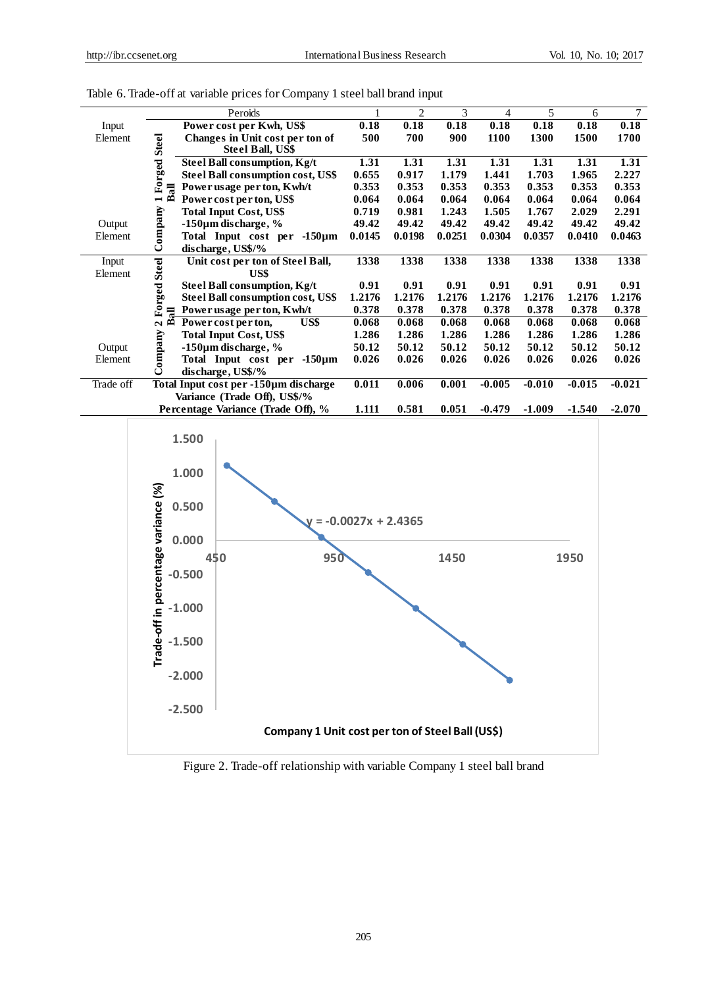|           | Peroids                                          |        | $\overline{c}$ | 3      | 4           | 5        | 6        | 7        |
|-----------|--------------------------------------------------|--------|----------------|--------|-------------|----------|----------|----------|
| Input     | Power cost per Kwh, US\$                         | 0.18   | 0.18           | 0.18   | 0.18        | 0.18     | 0.18     | 0.18     |
| Element   | Changes in Unit cost per ton of                  | 500    | 700            | 900    | <b>1100</b> | 1300     | 1500     | 1700     |
|           | <b>Steel</b><br><b>Steel Ball, US\$</b>          |        |                |        |             |          |          |          |
|           | Forged?<br>Steel Ball consumption, Kg/t          | 1.31   | 1.31           | 1.31   | 1.31        | 1.31     | 1.31     | 1.31     |
|           | Steel Ball consumption cost, US\$                | 0.655  | 0.917          | 1.179  | 1.441       | 1.703    | 1.965    | 2.227    |
|           | Power usage per ton, Kwh/t<br>$\overline{a}$     | 0.353  | 0.353          | 0.353  | 0.353       | 0.353    | 0.353    | 0.353    |
|           | ⋍<br>Power cost per ton, US\$                    | 0.064  | 0.064          | 0.064  | 0.064       | 0.064    | 0.064    | 0.064    |
|           | ompany<br><b>Total Input Cost, US\$</b>          | 0.719  | 0.981          | 1.243  | 1.505       | 1.767    | 2.029    | 2.291    |
| Output    | $-150 \,\mathrm{\mu m}$ discharge, %             | 49.42  | 49.42          | 49.42  | 49.42       | 49.42    | 49.42    | 49.42    |
| Element   | Total Input cost per<br>$-150 \,\mathrm{\mu m}$  | 0.0145 | 0.0198         | 0.0251 | 0.0304      | 0.0357   | 0.0410   | 0.0463   |
|           | ت<br>discharge, US\$/%                           |        |                |        |             |          |          |          |
| Input     | Unit cost per ton of Steel Ball,<br><b>Steel</b> | 1338   | 1338           | 1338   | 1338        | 1338     | 1338     | 1338     |
| Element   | US\$                                             |        |                |        |             |          |          |          |
|           | Steel Ball consumption, Kg/t                     | 0.91   | 0.91           | 0.91   | 0.91        | 0.91     | 0.91     | 0.91     |
|           | Forged<br>Steel Ball consumption cost, US\$      | 1.2176 | 1.2176         | 1.2176 | 1.2176      | 1.2176   | 1.2176   | 1.2176   |
|           | Power usage per ton, Kwh/t<br>$\overline{a}$     | 0.378  | 0.378          | 0.378  | 0.378       | 0.378    | 0.378    | 0.378    |
|           | Power cost per ton,<br>US\$<br>⋍<br>$\mathbf{a}$ | 0.068  | 0.068          | 0.068  | 0.068       | 0.068    | 0.068    | 0.068    |
|           | ompany<br><b>Total Input Cost, US\$</b>          | 1.286  | 1.286          | 1.286  | 1.286       | 1.286    | 1.286    | 1.286    |
| Output    | $-150 \,\mathrm{\mu m}$ discharge, %             | 50.12  | 50.12          | 50.12  | 50.12       | 50.12    | 50.12    | 50.12    |
| Element   | Total Input cost per<br>$-150 \,\mathrm{\mu m}$  | 0.026  | 0.026          | 0.026  | 0.026       | 0.026    | 0.026    | 0.026    |
|           | discharge, US\$/%<br>ت                           |        |                |        |             |          |          |          |
| Trade off | Total Input cost per -150 µm discharge           | 0.011  | 0.006          | 0.001  | $-0.005$    | $-0.010$ | $-0.015$ | $-0.021$ |
|           | Variance (Trade Off), US\$/%                     |        |                |        |             |          |          |          |
|           | Percentage Variance (Trade Off), %               | 1.111  | 0.581          | 0.051  | $-0.479$    | $-1.009$ | $-1.540$ | $-2.070$ |
|           |                                                  |        |                |        |             |          |          |          |
|           |                                                  |        |                |        |             |          |          |          |

Table 6. Trade-off at variable prices for Company 1 steel ball brand input



Figure 2. Trade-off relationship with variable Company 1 steel ball brand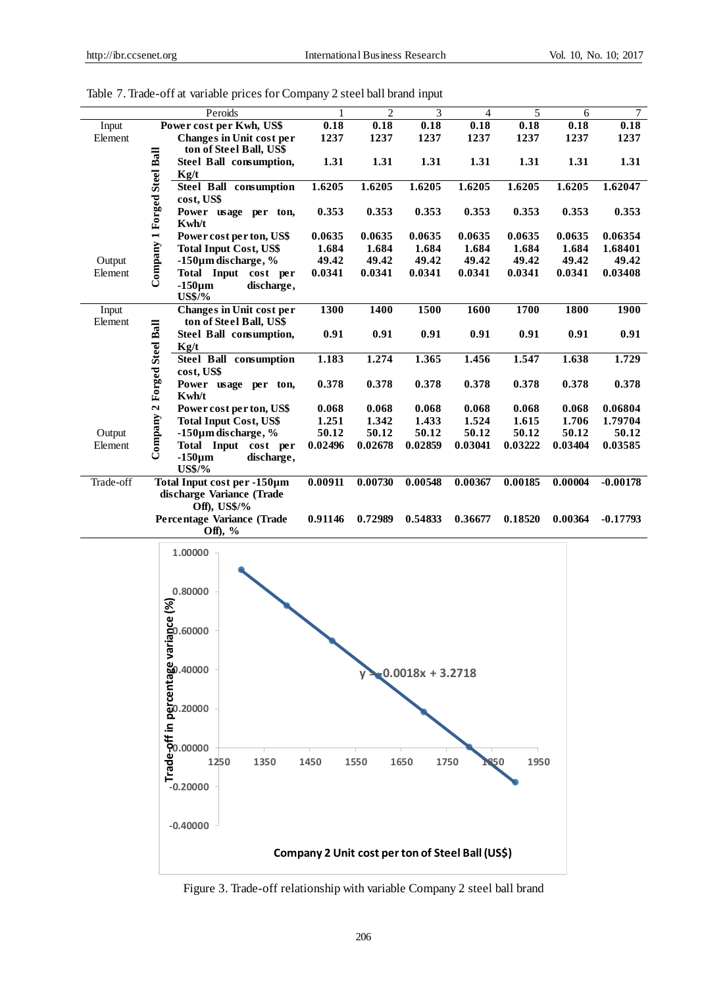l,

|           |                             | Peroids                                                | 1           | $\overline{2}$                                   | $\overline{3}$     | $\overline{4}$ | 5           | 6       | $\overline{7}$ |
|-----------|-----------------------------|--------------------------------------------------------|-------------|--------------------------------------------------|--------------------|----------------|-------------|---------|----------------|
| Input     |                             | Power cost per Kwh, US\$                               | 0.18        | 0.18                                             | 0.18               | 0.18           | 0.18        | 0.18    | 0.18           |
| Element   |                             | Changes in Unit cost per                               | 1237        | 1237                                             | 1237               | 1237           | 1237        | 1237    | 1237           |
|           |                             | ton of Steel Ball, US\$                                |             |                                                  |                    |                |             |         |                |
|           |                             | Steel Ball consumption,                                | 1.31        | 1.31                                             | 1.31               | 1.31           | 1.31        | 1.31    | 1.31           |
|           |                             | Kg/t<br><b>Steel Ball consumption</b>                  | 1.6205      | 1.6205                                           | 1.6205             | 1.6205         | 1.6205      | 1.6205  | 1.62047        |
|           |                             | cost, US\$                                             |             |                                                  |                    |                |             |         |                |
|           |                             | Power usage per ton,                                   | 0.353       | 0.353                                            | 0.353              | 0.353          | 0.353       | 0.353   | 0.353          |
|           |                             | Kwh/t                                                  |             |                                                  |                    |                |             |         |                |
|           |                             | Power cost per ton, US\$                               | 0.0635      | 0.0635                                           | 0.0635             | 0.0635         | 0.0635      | 0.0635  | 0.06354        |
|           |                             | <b>Total Input Cost, US\$</b>                          | 1.684       | 1.684                                            | 1.684              | 1.684          | 1.684       | 1.684   | 1.68401        |
| Output    |                             | $-150 \,\mathrm{\mu m}$ discharge, %                   | 49.42       | 49.42                                            | 49.42              | 49.42          | 49.42       | 49.42   | 49.42          |
| Element   | Company 1 Forged Steel Ball | Total Input cost per                                   | 0.0341      | 0.0341                                           | 0.0341             | 0.0341         | 0.0341      | 0.0341  | 0.03408        |
|           |                             | $-150 \,\mathrm{\mu m}$<br>discharge,<br><b>US\$/%</b> |             |                                                  |                    |                |             |         |                |
| Input     |                             | <b>Changes in Unit cost per</b>                        | <b>1300</b> | 1400                                             | 1500               | 1600           | 1700        | 1800    | 1900           |
| Element   |                             | ton of Steel Ball, US\$                                |             |                                                  |                    |                |             |         |                |
|           | Company 2 Forged Steel Ball | Steel Ball consumption,<br>Kg/t                        | 0.91        | 0.91                                             | 0.91               | 0.91           | 0.91        | 0.91    | 0.91           |
|           |                             | Steel Ball consumption                                 | 1.183       | 1.274                                            | 1.365              | 1.456          | 1.547       | 1.638   | 1.729          |
|           |                             | cost, US\$                                             |             |                                                  |                    |                |             |         |                |
|           |                             | Power usage per ton,<br>Kwh/t                          | 0.378       | 0.378                                            | 0.378              | 0.378          | 0.378       | 0.378   | 0.378          |
|           |                             | Power cost per ton, US\$                               | 0.068       | 0.068                                            | 0.068              | 0.068          | 0.068       | 0.068   | 0.06804        |
|           |                             | <b>Total Input Cost, US\$</b>                          | 1.251       | 1.342                                            | 1.433              | 1.524          | 1.615       | 1.706   | 1.79704        |
| Output    |                             | $-150 \,\mathrm{\mu m}$ discharge, %                   | 50.12       | 50.12                                            | 50.12              | 50.12          | 50.12       | 50.12   | 50.12          |
| Element   |                             | Total Input cost per                                   | 0.02496     | 0.02678                                          | 0.02859            | 0.03041        | 0.03222     | 0.03404 | 0.03585        |
|           |                             | $-150 \,\mathrm{\mu m}$<br>discharge,<br><b>US\$/%</b> |             |                                                  |                    |                |             |         |                |
| Trade-off |                             | Total Input cost per -150 µm                           | 0.00911     | 0.00730                                          | 0.00548            | 0.00367        | 0.00185     | 0.00004 | $-0.00178$     |
|           |                             | discharge Variance (Trade                              |             |                                                  |                    |                |             |         |                |
|           |                             | Off), US\$/%                                           |             |                                                  |                    |                |             |         |                |
|           |                             | Percentage Variance (Trade                             | 0.91146     | 0.72989                                          | 0.54833            | 0.36677        | 0.18520     | 0.00364 | $-0.17793$     |
|           |                             | Off), %                                                |             |                                                  |                    |                |             |         |                |
|           |                             | 1.00000                                                |             |                                                  |                    |                |             |         |                |
|           |                             |                                                        |             |                                                  |                    |                |             |         |                |
|           |                             |                                                        |             |                                                  |                    |                |             |         |                |
|           |                             | 0.80000                                                |             |                                                  |                    |                |             |         |                |
|           |                             |                                                        |             |                                                  |                    |                |             |         |                |
|           |                             |                                                        |             |                                                  |                    |                |             |         |                |
|           |                             | $\frac{8}{2}$<br>ariage 60000                          |             |                                                  |                    |                |             |         |                |
|           |                             |                                                        |             |                                                  |                    |                |             |         |                |
|           |                             | Ş                                                      |             |                                                  |                    |                |             |         |                |
|           |                             | es .40000                                              |             |                                                  | $0.0018x + 3.2718$ |                |             |         |                |
|           |                             |                                                        |             |                                                  |                    |                |             |         |                |
|           |                             |                                                        |             |                                                  |                    |                |             |         |                |
|           |                             |                                                        |             |                                                  |                    |                |             |         |                |
|           |                             | 크.                                                     |             |                                                  |                    |                |             |         |                |
|           |                             | $T_{\text{net}}$                                       |             |                                                  |                    |                |             |         |                |
|           |                             | 1250                                                   |             |                                                  |                    |                |             |         |                |
|           |                             | 1350                                                   | 1450        | 1550                                             | 1650<br>1750       |                | 1950<br>850 |         |                |
|           |                             | $-0.20000$                                             |             |                                                  |                    |                |             |         |                |
|           |                             |                                                        |             |                                                  |                    |                |             |         |                |
|           |                             |                                                        |             |                                                  |                    |                |             |         |                |
|           |                             | $-0.40000$                                             |             |                                                  |                    |                |             |         |                |
|           |                             |                                                        |             | Company 2 Unit cost per ton of Steel Ball (US\$) |                    |                |             |         |                |

Table 7. Trade-off at variable prices for Company 2 steel ball brand input

Figure 3. Trade-off relationship with variable Company 2 steel ball brand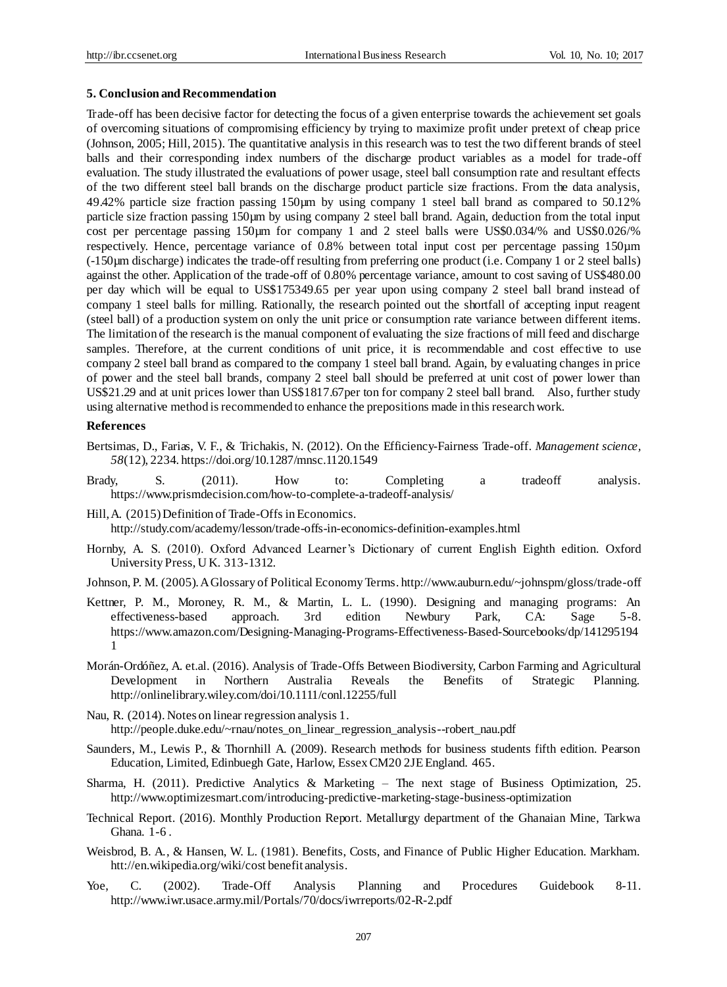## **5. Conclusion and Recommendation**

Trade-off has been decisive factor for detecting the focus of a given enterprise towards the achievement set goals of overcoming situations of compromising efficiency by trying to maximize profit under pretext of cheap price (Johnson, 2005; Hill, 2015). The quantitative analysis in this research was to test the two different brands of steel balls and their corresponding index numbers of the discharge product variables as a model for trade-off evaluation. The study illustrated the evaluations of power usage, steel ball consumption rate and resultant effects of the two different steel ball brands on the discharge product particle size fractions. From the data analysis, 49.42% particle size fraction passing  $150 \mu m$  by using company 1 steel ball brand as compared to 50.12% particle size fraction passing 150µm by using company 2 steel ball brand. Again, deduction from the total input cost per percentage passing 150µm for company 1 and 2 steel balls were US\$0.034/% and US\$0.026/% respectively. Hence, percentage variance of 0.8% between total input cost per percentage passing 150 µm (-150µm discharge) indicates the trade-off resulting from preferring one product (i.e. Company 1 or 2 steel balls) against the other. Application of the trade-off of 0.80% percentage variance, amount to cost saving of US\$480.00 per day which will be equal to US\$175349.65 per year upon using company 2 steel ball brand instead of company 1 steel balls for milling. Rationally, the research pointed out the shortfall of accepting input reagent (steel ball) of a production system on only the unit price or consumption rate variance between different items. The limitation of the research is the manual component of evaluating the size fractions of mill feed and discharge samples. Therefore, at the current conditions of unit price, it is recommendable and cost effective to use company 2 steel ball brand as compared to the company 1 steel ball brand. Again, by evaluating changes in price of power and the steel ball brands, company 2 steel ball should be preferred at unit cost of power lower than US\$21.29 and at unit prices lower than US\$1817.67per ton for company 2 steel ball brand. Also, further study using alternative method is recommended to enhance the prepositions made in this research work.

#### **References**

- Bertsimas, D., Farias, V. F., & Trichakis, N. (2012). On the Efficiency-Fairness Trade-off. *Management science, 58*(12), 2234. https://doi.org/10.1287/mnsc.1120.1549
- Brady, S. (2011). How to: Completing a tradeoff analysis. <https://www.prismdecision.com/how-to-complete-a-tradeoff-analysis/>
- Hill, A. (2015) Definition of Trade-Offs in Economics. <http://study.com/academy/lesson/trade-offs-in-economics-definition-examples.html>
- Hornby, A. S. (2010). Oxford Advanced Learner's Dictionary of current English Eighth edition. Oxford University Press, U K. 313-1312.
- [Johnson,](http://www.auburn.edu/~johnspm/) P. M. (2005)[. A Glossary of Political Economy Terms](http://www.auburn.edu/~johnspm/gloss/)[. http://www.auburn.edu/~johnspm/gloss/trade-off](http://www.auburn.edu/~johnspm/gloss/trade-off)
- Kettner, P. M., Moroney, R. M., & Martin, L. L. (1990). Designing and managing programs: An effectiveness-based approach. 3rd edition Newbury Park, CA: Sage 5-8. [https://www.amazon.com/Designing-Managing-Programs-Effectiveness-Based-Sourcebooks/dp/141295194](https://www.amazon.com/Designing-Managing-Programs-Effectiveness-Based-Sourcebooks/dp/1412951941) [1](https://www.amazon.com/Designing-Managing-Programs-Effectiveness-Based-Sourcebooks/dp/1412951941)
- Morán-Ordóñez, A. et.al. (2016). Analysis of Trade-Offs Between Biodiversity, Carbon Farming and Agricultural Development in Northern Australia Reveals the Benefits of Strategic Planning. <http://onlinelibrary.wiley.com/doi/10.1111/conl.12255/full>
- Nau, R. (2014). Notes on linear regression analysis 1. [http://people.duke.edu/~rnau/notes\\_on\\_linear\\_regression\\_analysis--robert\\_nau.pdf](http://people.duke.edu/~rnau/notes_on_linear_regression_analysis--robert_nau.pdf)
- Saunders, M., Lewis P., & Thornhill A. (2009). Research methods for business students fifth edition. Pearson Education, Limited, Edinbuegh Gate, Harlow, Essex CM20 2JE England. 465.
- Sharma, H. (2011). Predictive Analytics & Marketing The next stage of Business Optimization, 25. <http://www.optimizesmart.com/introducing-predictive-marketing-stage-business-optimization>
- Technical Report. (2016). Monthly Production Report. Metallurgy department of the Ghanaian Mine, Tarkwa Ghana. 1-6 .
- Weisbrod, B. A., & Hansen, W. L. (1981). Benefits, Costs, and Finance of Public Higher Education. Markham. htt://en.wikipedia.org/wiki/cost benefit analysis.
- Yoe, C. (2002). Trade-Off Analysis Planning and Procedures Guidebook 8-11. <http://www.iwr.usace.army.mil/Portals/70/docs/iwrreports/02-R-2.pdf>